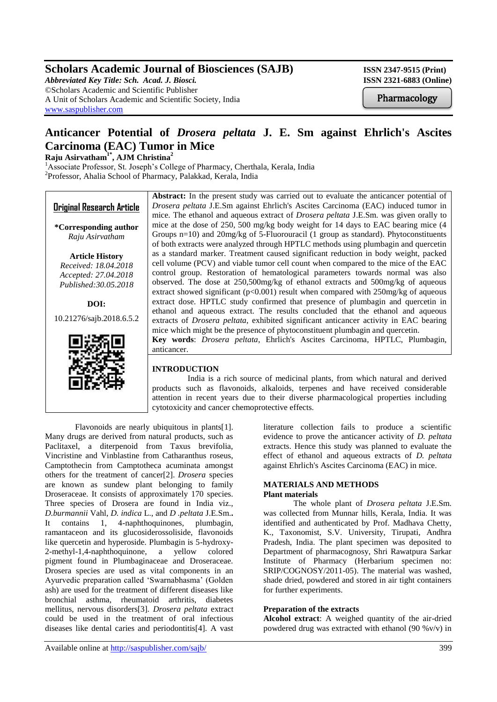# **Scholars Academic Journal of Biosciences (SAJB)** ISSN 2347-9515 (Print)

*Abbreviated Key Title: Sch. Acad. J. Biosci.* **ISSN 2321-6883 (Online)** ©Scholars Academic and Scientific Publisher A Unit of Scholars Academic and Scientific Society, India [www.saspublisher.com](http://www.saspublisher.com/)

Pharmacology

# **Anticancer Potential of** *Drosera peltata* **J. E. Sm against Ehrlich's Ascites Carcinoma (EAC) Tumor in Mice**

**Raju Asirvatham1\*, AJM Christina<sup>2</sup>**

<sup>1</sup>Associate Professor, St. Joseph's College of Pharmacy, Cherthala, Kerala, India 2 Professor, Ahalia School of Pharmacy, Palakkad, Kerala, India



# **INTRODUCTION**

 India is a rich source of medicinal plants, from which natural and derived products such as flavonoids, alkaloids, terpenes and have received considerable attention in recent years due to their diverse pharmacological properties including cytotoxicity and cancer chemoprotective effects.

Flavonoids are nearly ubiquitous in plants[1]. Many drugs are derived from natural products, such as Paclitaxel, a diterpenoid from Taxus brevifolia, Vincristine and Vinblastine from Catharanthus roseus, Camptothecin from Camptotheca acuminata amongst others for the treatment of cancer[2]. *Drosera* species are known as sundew plant belonging to family Droseraceae. It consists of approximately 170 species. Three species of Drosera are found in India viz., *D.burmannii* Vahl, *D. indica* L., and *D .peltata* J.E.Sm.**.**  It contains 1, 4-naphthoquinones, plumbagin, ramantaceon and its glucosiderossoliside, flavonoids like quercetin and hyperoside. Plumbagin is 5-hydroxy-2-methyl-1,4-naphthoquinone, a yellow colored pigment found in Plumbaginaceae and Droseraceae. Drosera species are used as vital components in an Ayurvedic preparation called 'Swarnabhasma' (Golden ash) are used for the treatment of different diseases like bronchial asthma, rheumatoid arthritis, diabetes mellitus, nervous disorders[3]. *Drosera peltata* extract could be used in the treatment of oral infectious diseases like dental caries and periodontitis[4]. A vast

literature collection fails to produce a scientific evidence to prove the anticancer activity of *D. peltata* extracts. Hence this study was planned to evaluate the effect of ethanol and aqueous extracts of *D. peltata* against Ehrlich's Ascites Carcinoma (EAC) in mice.

#### **MATERIALS AND METHODS Plant materials**

The whole plant of *Drosera peltata* J.E.Sm. was collected from Munnar hills, Kerala, India. It was identified and authenticated by Prof. Madhava Chetty, K., Taxonomist, S.V. University, Tirupati, Andhra Pradesh, India. The plant specimen was deposited to Department of pharmacognosy, Shri Rawatpura Sarkar Institute of Pharmacy (Herbarium specimen no: SRIP/COGNOSY/2011-05). The material was washed, shade dried, powdered and stored in air tight containers for further experiments.

## **Preparation of the extracts**

**Alcohol extract**: A weighed quantity of the air-dried powdered drug was extracted with ethanol (90 %v/v) in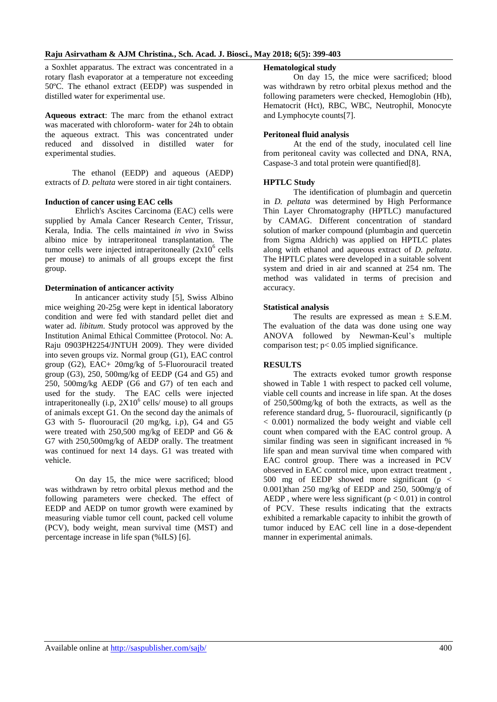#### **Raju Asirvatham & AJM Christina***.***, Sch. Acad. J. Biosci., May 2018; 6(5): 399-403**

a Soxhlet apparatus. The extract was concentrated in a rotary flash evaporator at a temperature not exceeding 50ºC. The ethanol extract (EEDP) was suspended in distilled water for experimental use.

**Aqueous extract**: The marc from the ethanol extract was macerated with chloroform- water for 24h to obtain the aqueous extract. This was concentrated under reduced and dissolved in distilled water for experimental studies.

 The ethanol (EEDP) and aqueous (AEDP) extracts of *D. peltata* were stored in air tight containers.

#### **Induction of cancer using EAC cells**

Ehrlich's Ascites Carcinoma (EAC) cells were supplied by Amala Cancer Research Center, Trissur, Kerala, India. The cells maintained *in vivo* in Swiss albino mice by intraperitoneal transplantation. The tumor cells were injected intraperitoneally  $(2x10^6 \text{ cells})$ per mouse) to animals of all groups except the first group.

#### **Determination of anticancer activity**

In anticancer activity study [5], Swiss Albino mice weighing 20-25g were kept in identical laboratory condition and were fed with standard pellet diet and water ad. *libitum*. Study protocol was approved by the Institution Animal Ethical Committee (Protocol. No: A. Raju 0903PH2254/JNTUH 2009). They were divided into seven groups viz. Normal group (G1), EAC control group (G2), EAC+ 20mg/kg of 5-Fluorouracil treated group (G3), 250, 500mg/kg of EEDP (G4 and G5) and 250, 500mg/kg AEDP (G6 and G7) of ten each and used for the study. The EAC cells were injected intraperitoneally (i.p,  $2X10^6$  cells/ mouse) to all groups of animals except G1. On the second day the animals of G3 with 5- fluorouracil (20 mg/kg, i.p), G4 and G5 were treated with 250,500 mg/kg of EEDP and G6 & G7 with 250,500mg/kg of AEDP orally. The treatment was continued for next 14 days. G1 was treated with vehicle.

On day 15, the mice were sacrificed; blood was withdrawn by retro orbital plexus method and the following parameters were checked. The effect of EEDP and AEDP on tumor growth were examined by measuring viable tumor cell count, packed cell volume (PCV), body weight, mean survival time (MST) and percentage increase in life span (%ILS) [6].

#### **Hematological study**

On day 15, the mice were sacrificed; blood was withdrawn by retro orbital plexus method and the following parameters were checked, Hemoglobin (Hb), Hematocrit (Hct), RBC, WBC, Neutrophil, Monocyte and Lymphocyte counts[7].

#### **Peritoneal fluid analysis**

At the end of the study, inoculated cell line from peritoneal cavity was collected and DNA, RNA, Caspase-3 and total protein were quantified[8].

#### **HPTLC Study**

The identification of plumbagin and quercetin in *D. peltata* was determined by High Performance Thin Layer Chromatography (HPTLC) manufactured by CAMAG. Different concentration of standard solution of marker compound (plumbagin and quercetin from Sigma Aldrich) was applied on HPTLC plates along with ethanol and aqueous extract of *D. peltata*. The HPTLC plates were developed in a suitable solvent system and dried in air and scanned at 254 nm. The method was validated in terms of precision and accuracy.

#### **Statistical analysis**

The results are expressed as mean  $\pm$  S.E.M. The evaluation of the data was done using one way ANOVA followed by Newman-Keul's multiple comparison test;  $p < 0.05$  implied significance.

#### **RESULTS**

The extracts evoked tumor growth response showed in Table 1 with respect to packed cell volume, viable cell counts and increase in life span. At the doses of 250,500mg/kg of both the extracts, as well as the reference standard drug, 5- fluorouracil, significantly (p < 0.001) normalized the body weight and viable cell count when compared with the EAC control group. A similar finding was seen in significant increased in % life span and mean survival time when compared with EAC control group. There was a increased in PCV observed in EAC control mice, upon extract treatment , 500 mg of EEDP showed more significant ( $p <$ 0.001)than 250 mg/kg of EEDP and 250, 500mg/g of AEDP, where were less significant  $(p < 0.01)$  in control of PCV. These results indicating that the extracts exhibited a remarkable capacity to inhibit the growth of tumor induced by EAC cell line in a dose-dependent manner in experimental animals.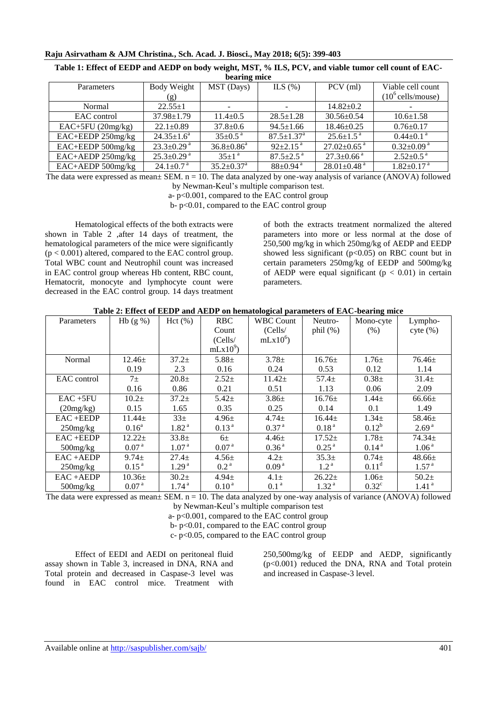#### **Raju Asirvatham & AJM Christina***.***, Sch. Acad. J. Biosci., May 2018; 6(5): 399-403**

| bearing mice        |                              |                              |                             |                               |                              |  |  |
|---------------------|------------------------------|------------------------------|-----------------------------|-------------------------------|------------------------------|--|--|
| Parameters          | Body Weight                  | MST (Days)                   | ILS $(\%)$                  | $PCV$ (ml)                    | Viable cell count            |  |  |
|                     | (g)                          |                              |                             |                               | $(10^6 \text{ cells/mouse})$ |  |  |
| Normal              | $22.55+1$                    |                              |                             | $14.82 \pm 0.2$               |                              |  |  |
| EAC control         | $37.98 \pm 1.79$             | $11.4 + 0.5$                 | $28.5 \pm 1.28$             | $30.56 \pm 0.54$              | $10.6 \pm 1.58$              |  |  |
| $EAC+5FU$ (20mg/kg) | $22.1 \pm 0.89$              | $37.8 \pm 0.6$               | $94.5 \pm 1.66$             | $18.46 \pm 0.25$              | $0.76 \pm 0.17$              |  |  |
| EAC+EEDP 250mg/kg   | $24.35 \pm 1.6^a$            | $35+0.5$ <sup>a</sup>        | $87.5 \pm 1.37^{\rm a}$     | $25.6 \pm 1.5^{\text{a}}$     | $0.44 \pm 0.1$ <sup>a</sup>  |  |  |
| EAC+EEDP 500mg/kg   | $23.3 \pm 0.29$ <sup>a</sup> | $36.8 \pm 0.86^a$            | $92 \pm 2.15$ <sup>a</sup>  | $27.02 \pm 0.65$ <sup>a</sup> | $0.32{\pm}0.09^{\text{ a}}$  |  |  |
| EAC+AEDP 250mg/kg   | $25.3 \pm 0.29$ <sup>a</sup> | $35+1$ <sup>a</sup>          | $87.5 \pm 2.5$ <sup>a</sup> | $27.3 \pm 0.66$ <sup>a</sup>  | $2.52 \pm 0.5$ <sup>a</sup>  |  |  |
| EAC+AEDP 500mg/kg   | $24.1 \pm 0.7$ <sup>a</sup>  | $35.2 \pm 0.37$ <sup>a</sup> | $88+0.94$ <sup>a</sup>      | $28.01 \pm 0.48$ <sup>a</sup> | $1.82 \pm 0.17$ <sup>a</sup> |  |  |

| Table 1: Effect of EEDP and AEDP on body weight, MST, % ILS, PCV, and viable tumor cell count of EAC- |  |
|-------------------------------------------------------------------------------------------------------|--|
| haaring mica                                                                                          |  |

The data were expressed as mean± SEM. n = 10. The data analyzed by one-way analysis of variance (ANOVA) followed by Newman-Keul's multiple comparison test.

a- p<0.001, compared to the EAC control group

b- p<0.01, compared to the EAC control group

Hematological effects of the both extracts were shown in Table 2 ,after 14 days of treatment, the hematological parameters of the mice were significantly  $(p < 0.001)$  altered, compared to the EAC control group. Total WBC count and Neutrophil count was increased in EAC control group whereas Hb content, RBC count, Hematocrit, monocyte and lymphocyte count were decreased in the EAC control group. 14 days treatment of both the extracts treatment normalized the altered parameters into more or less normal at the dose of 250,500 mg/kg in which 250mg/kg of AEDP and EEDP showed less significant  $(p<0.05)$  on RBC count but in certain parameters 250mg/kg of EEDP and 500mg/kg of AEDP were equal significant ( $p < 0.01$ ) in certain parameters.

|  |  |  | Table 2: Effect of EEDP and AEDP on hematological parameters of EAC-bearing mice |  |  |
|--|--|--|----------------------------------------------------------------------------------|--|--|
|  |  |  |                                                                                  |  |  |

| Parameters     | Hb $(g\% )$       | Hct (%)           | <b>RBC</b>        | <b>WBC Count</b>  | Neutro-           | Mono-cyte         | Lympho-           |
|----------------|-------------------|-------------------|-------------------|-------------------|-------------------|-------------------|-------------------|
|                |                   |                   | Count             | (Cells/           | phil $(\%)$       | (% )              | $cyte$ $(\%)$     |
|                |                   |                   | (Cells/           | $mLx10^6$         |                   |                   |                   |
|                |                   |                   | $mLx10^9$         |                   |                   |                   |                   |
| Normal         | $12.46 \pm$       | $37.2+$           | $5.88 +$          | $3.78 \pm$        | $16.76 \pm$       | $1.76 \pm$        | $76.46 \pm$       |
|                | 0.19              | 2.3               | 0.16              | 0.24              | 0.53              | 0.12              | 1.14              |
| EAC control    | $7\pm$            | 20.8 <sub>±</sub> | $2.52+$           | $11.42 \pm$       | $57.4+$           | $0.38\pm$         | $31.4\pm$         |
|                | 0.16              | 0.86              | 0.21              | 0.51              | 1.13              | 0.06              | 2.09              |
| $EAC + 5FU$    | $10.2\pm$         | $37.2+$           | $5.42 \pm$        | $3.86 \pm$        | $16.76\pm$        | $1.44\pm$         | $66.66\pm$        |
| (20mg/kg)      | 0.15              | 1.65              | 0.35              | 0.25              | 0.14              | 0.1               | 1.49              |
| $EAC + EEDP$   | $11.44 \pm$       | $33\pm$           | $4.96 \pm$        | $4.74 \pm$        | $16.44 \pm$       | $1.34\pm$         | $58.46 \pm$       |
| $250$ mg/kg    | $0.16^a$          | 1.82 <sup>a</sup> | 0.13 <sup>a</sup> | 0.37 <sup>a</sup> | 0.18 <sup>a</sup> | $0.12^{b}$        | 2.69 <sup>a</sup> |
| $EAC + EEDP$   | $12.22+$          | $33.8+$           | $6\pm$            | $4.46\pm$         | $17.52 \pm$       | $1.78 +$          | $74.34 \pm$       |
| $500$ mg/ $kg$ | 0.07 <sup>a</sup> | 1.07 <sup>a</sup> | 0.07 <sup>a</sup> | 0.36 <sup>a</sup> | 0.25 <sup>a</sup> | 0.14 <sup>a</sup> | 1.06 <sup>a</sup> |
| $EAC + AEDP$   | $9.74 \pm$        | 27.4 <sub>±</sub> | $4.56 \pm$        | $4.2\pm$          | $35.3+$           | $0.74\pm$         | $48.66 \pm$       |
| $250$ mg/kg    | 0.15 <sup>a</sup> | 1.29 <sup>a</sup> | 0.2 <sup>a</sup>  | 0.09 <sup>a</sup> | 1.2 <sup>a</sup>  | 0.11 <sup>d</sup> | 1.57 <sup>a</sup> |
| $EAC + AEDP$   | $10.36\pm$        | 30.2 <sub>±</sub> | $4.94 \pm$        | $4.1\pm$          | $26.22 \pm$       | $1.06\pm$         | $50.2+$           |
| $500$ mg/ $kg$ | 0.07 <sup>a</sup> | 1.74 <sup>a</sup> | 0.10 <sup>a</sup> | 0.1 <sup>a</sup>  | 1.32 <sup>a</sup> | $0.32^{\circ}$    | 1.41 <sup>a</sup> |

The data were expressed as mean± SEM. n = 10. The data analyzed by one-way analysis of variance (ANOVA) followed

by Newman-Keul's multiple comparison test

a- p<0.001, compared to the EAC control group

b- p<0.01, compared to the EAC control group

c- p<0.05, compared to the EAC control group

Effect of EEDI and AEDI on peritoneal fluid assay shown in Table 3, increased in DNA, RNA and Total protein and decreased in Caspase-3 level was found in EAC control mice. Treatment with

250,500mg/kg of EEDP and AEDP, significantly (p<0.001) reduced the DNA, RNA and Total protein and increased in Caspase-3 level.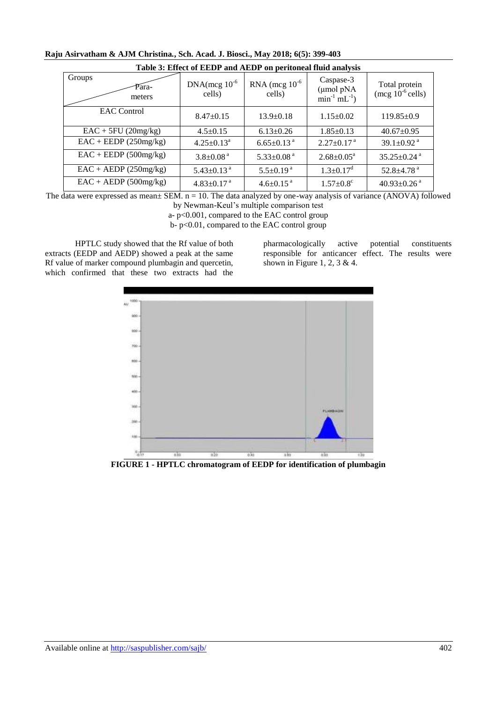| Table 3: Effect of EEDP and AEDP on peritoneal fluid analysis |                              |                              |                                                                     |                                        |  |  |  |  |
|---------------------------------------------------------------|------------------------------|------------------------------|---------------------------------------------------------------------|----------------------------------------|--|--|--|--|
| Groups<br>Para-<br>meters                                     | $DNA(mcg 10^{-6})$<br>cells) | RNA (mcg $10^{-6}$<br>cells) | Caspase-3<br>$(\mu$ mol pNA<br>min <sup>-1</sup> mL <sup>-1</sup> ) | Total protein<br>(mcg $10^{-6}$ cells) |  |  |  |  |
| <b>EAC</b> Control                                            | $8.47 \pm 0.15$              | $13.9 \pm 0.18$              | $1.15 \pm 0.02$                                                     | $119.85\pm0.9$                         |  |  |  |  |
| $EAC + 5FU$ (20mg/kg)                                         | $4.5 \pm 0.15$               | $6.13 \pm 0.26$              | $1.85 \pm 0.13$                                                     | $40.67 \pm 0.95$                       |  |  |  |  |
| $EAC + EEDP(250mg/kg)$                                        | $4.25 \pm 0.13^a$            | $6.65 \pm 0.13$ <sup>a</sup> | $2.27 \pm 0.17$ <sup>a</sup>                                        | 39.1 $\pm$ 0.92 $^{\rm a}$             |  |  |  |  |
| $EAC + EEDP(500mg/kg)$                                        | $3.8 \pm 0.08$ <sup>a</sup>  | $5.33 \pm 0.08$ <sup>a</sup> | $2.68 \pm 0.05^{\text{a}}$                                          | $35.25 \pm 0.24$ <sup>a</sup>          |  |  |  |  |
| $EAC + AEDP (250mg/kg)$                                       | $5.43 \pm 0.13$ <sup>a</sup> | $5.5 \pm 0.19$ <sup>a</sup>  | $1.3 \pm 0.17$ <sup>d</sup>                                         | $52.8 \pm 4.78$ <sup>a</sup>           |  |  |  |  |
| $EAC + AEDP(500mg/kg)$                                        | $4.83 \pm 0.17$ <sup>a</sup> | $4.6 \pm 0.15$ <sup>a</sup>  | $1.57 \pm 0.8$ <sup>c</sup>                                         | $40.93 \pm 0.26$ <sup>a</sup>          |  |  |  |  |

**Raju Asirvatham & AJM Christina***.***, Sch. Acad. J. Biosci., May 2018; 6(5): 399-403**

The data were expressed as mean $\pm$  SEM. n = 10. The data analyzed by one-way analysis of variance (ANOVA) followed by Newman-Keul's multiple comparison test

a- p<0.001, compared to the EAC control group

b- p<0.01, compared to the EAC control group

HPTLC study showed that the Rf value of both extracts (EEDP and AEDP) showed a peak at the same Rf value of marker compound plumbagin and quercetin, which confirmed that these two extracts had the

pharmacologically active potential constituents responsible for anticancer effect. The results were shown in Figure 1, 2, 3 & 4.



**FIGURE 1 - HPTLC chromatogram of EEDP for identification of plumbagin**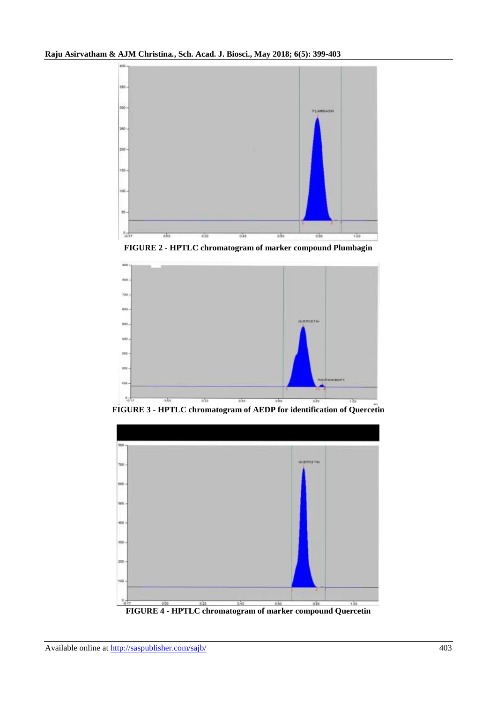

**FIGURE 2 - HPTLC chromatogram of marker compound Plumbagin**



**FIGURE 3 - HPTLC chromatogram of AEDP for identification of Quercetin**

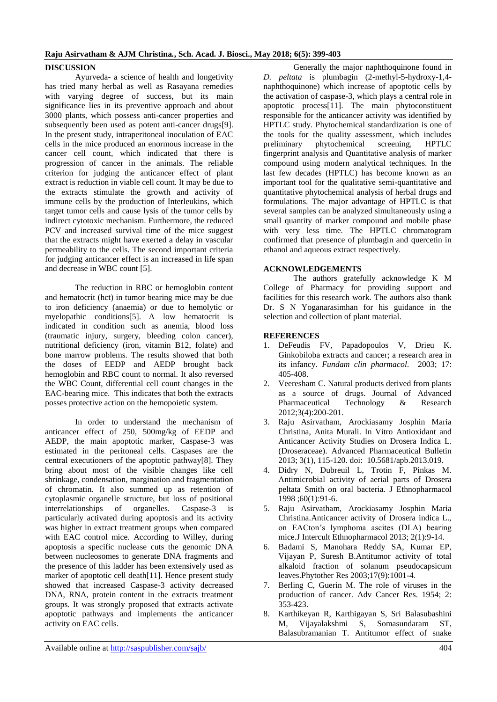# **Raju Asirvatham & AJM Christina***.***, Sch. Acad. J. Biosci., May 2018; 6(5): 399-403**

# **DISCUSSION**

Ayurveda- a science of health and longetivity has tried many herbal as well as Rasayana remedies with varying degree of success, but its main significance lies in its preventive approach and about 3000 plants, which possess anti-cancer properties and subsequently been used as potent anti-cancer drugs[9]. In the present study, intraperitoneal inoculation of EAC cells in the mice produced an enormous increase in the cancer cell count, which indicated that there is progression of cancer in the animals. The reliable criterion for judging the anticancer effect of plant extract is reduction in viable cell count. It may be due to the extracts stimulate the growth and activity of immune cells by the production of Interleukins, which target tumor cells and cause lysis of the tumor cells by indirect cytotoxic mechanism. Furthermore, the reduced PCV and increased survival time of the mice suggest that the extracts might have exerted a delay in vascular permeability to the cells. The second important criteria for judging anticancer effect is an increased in life span and decrease in WBC count [5].

The reduction in RBC or hemoglobin content and hematocrit (hct) in tumor bearing mice may be due to iron deficiency (anaemia) or due to hemolytic or myelopathic conditions[5]. A low hematocrit is indicated in condition such as anemia, blood loss (traumatic injury, surgery, bleeding colon cancer), nutritional deficiency (iron, vitamin B12, folate) and bone marrow problems. The results showed that both the doses of EEDP and AEDP brought back hemoglobin and RBC count to normal. It also reversed the WBC Count, differential cell count changes in the EAC-bearing mice. This indicates that both the extracts posses protective action on the hemopoietic system.

In order to understand the mechanism of anticancer effect of 250, 500mg/kg of EEDP and AEDP, the main apoptotic marker, Caspase-3 was estimated in the peritoneal cells. Caspases are the central executioners of the apoptotic pathway[8]. They bring about most of the visible changes like cell shrinkage, condensation, margination and fragmentation of chromatin. It also summed up as retention of cytoplasmic organelle structure, but loss of positional interrelationships of organelles. Caspase-3 is particularly activated during apoptosis and its activity was higher in extract treatment groups when compared with EAC control mice. According to Willey, during apoptosis a specific nuclease cuts the genomic DNA between nucleosomes to generate DNA fragments and the presence of this ladder has been extensively used as marker of apoptotic cell death[11]. Hence present study showed that increased Caspase-3 activity decreased DNA, RNA, protein content in the extracts treatment groups. It was strongly proposed that extracts activate apoptotic pathways and implements the anticancer activity on EAC cells.

Generally the major naphthoquinone found in *D. peltata* is plumbagin (2-methyl-5-hydroxy-1,4 naphthoquinone) which increase of apoptotic cells by the activation of caspase-3, which plays a central role in apoptotic process[11]. The main phytoconstituent responsible for the anticancer activity was identified by HPTLC study. Phytochemical standardization is one of the tools for the quality assessment, which includes preliminary phytochemical screening, HPTLC fingerprint analysis and Quantitative analysis of marker compound using modern analytical techniques. In the last few decades (HPTLC) has become known as an important tool for the qualitative semi-quantitative and quantitative phytochemical analysis of herbal drugs and formulations. The major advantage of HPTLC is that several samples can be analyzed simultaneously using a small quantity of marker compound and mobile phase with very less time. The HPTLC chromatogram confirmed that presence of plumbagin and quercetin in ethanol and aqueous extract respectively.

# **ACKNOWLEDGEMENTS**

The authors gratefully acknowledge K M College of Pharmacy for providing support and facilities for this research work. The authors also thank Dr. S N Yoganarasimhan for his guidance in the selection and collection of plant material.

#### **REFERENCES**

- 1. DeFeudis FV, Papadopoulos V, Drieu K. Ginkobiloba extracts and cancer; a research area in its infancy. *Fundam clin pharmacol.* 2003; 17: 405-408.
- 2. Veeresham C. Natural products derived from plants as a source of drugs. Journal of Advanced Pharmaceutical Technology & Research 2012;3(4):200-201.
- 3. Raju Asirvatham, Arockiasamy Josphin Maria Christina, Anita Murali. In Vitro Antioxidant and Anticancer Activity Studies on Drosera Indica L. (Droseraceae). Advanced Pharmaceutical Bulletin 2013; 3(1), 115-120. doi: 10.5681/apb.2013.019.
- 4. Didry N, Dubreuil L, Trotin F, Pinkas M. Antimicrobial activity of aerial parts of Drosera peltata Smith on oral bacteria. J Ethnopharmacol 1998 ;60(1):91-6.
- 5. Raju Asirvatham, Arockiasamy Josphin Maria Christina.Anticancer activity of Drosera indica L., on EACton's lymphoma ascites (DLA) bearing mice.J Intercult Ethnopharmacol 2013; 2(1):9-14.
- 6. Badami S, Manohara Reddy SA, Kumar EP, Vijayan P, Suresh B.Antitumor activity of total alkaloid fraction of solanum pseudocapsicum leaves.Phytother Res 2003;17(9):1001-4.
- 7. Berling C, Guerin M. The role of viruses in the production of cancer. Adv Cancer Res. 1954; 2: 353-423.
- 8. Karthikeyan R, Karthigayan S, Sri Balasubashini M, Vijayalakshmi S, Somasundaram ST, Balasubramanian T. Antitumor effect of snake